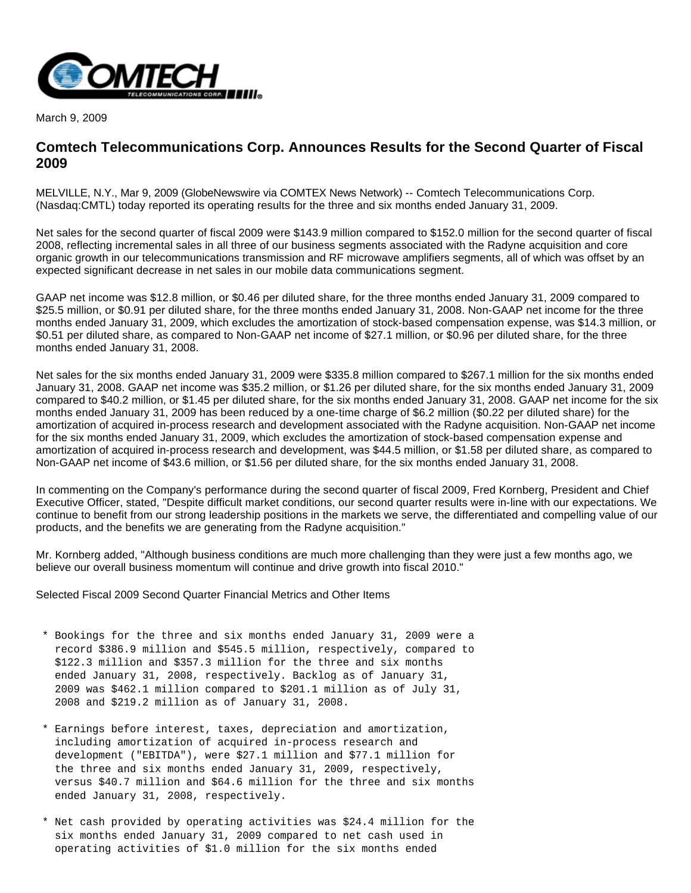

March 9, 2009

# **Comtech Telecommunications Corp. Announces Results for the Second Quarter of Fiscal 2009**

MELVILLE, N.Y., Mar 9, 2009 (GlobeNewswire via COMTEX News Network) -- Comtech Telecommunications Corp. (Nasdaq:CMTL) today reported its operating results for the three and six months ended January 31, 2009.

Net sales for the second quarter of fiscal 2009 were \$143.9 million compared to \$152.0 million for the second quarter of fiscal 2008, reflecting incremental sales in all three of our business segments associated with the Radyne acquisition and core organic growth in our telecommunications transmission and RF microwave amplifiers segments, all of which was offset by an expected significant decrease in net sales in our mobile data communications segment.

GAAP net income was \$12.8 million, or \$0.46 per diluted share, for the three months ended January 31, 2009 compared to \$25.5 million, or \$0.91 per diluted share, for the three months ended January 31, 2008. Non-GAAP net income for the three months ended January 31, 2009, which excludes the amortization of stock-based compensation expense, was \$14.3 million, or \$0.51 per diluted share, as compared to Non-GAAP net income of \$27.1 million, or \$0.96 per diluted share, for the three months ended January 31, 2008.

Net sales for the six months ended January 31, 2009 were \$335.8 million compared to \$267.1 million for the six months ended January 31, 2008. GAAP net income was \$35.2 million, or \$1.26 per diluted share, for the six months ended January 31, 2009 compared to \$40.2 million, or \$1.45 per diluted share, for the six months ended January 31, 2008. GAAP net income for the six months ended January 31, 2009 has been reduced by a one-time charge of \$6.2 million (\$0.22 per diluted share) for the amortization of acquired in-process research and development associated with the Radyne acquisition. Non-GAAP net income for the six months ended January 31, 2009, which excludes the amortization of stock-based compensation expense and amortization of acquired in-process research and development, was \$44.5 million, or \$1.58 per diluted share, as compared to Non-GAAP net income of \$43.6 million, or \$1.56 per diluted share, for the six months ended January 31, 2008.

In commenting on the Company's performance during the second quarter of fiscal 2009, Fred Kornberg, President and Chief Executive Officer, stated, "Despite difficult market conditions, our second quarter results were in-line with our expectations. We continue to benefit from our strong leadership positions in the markets we serve, the differentiated and compelling value of our products, and the benefits we are generating from the Radyne acquisition."

Mr. Kornberg added, "Although business conditions are much more challenging than they were just a few months ago, we believe our overall business momentum will continue and drive growth into fiscal 2010."

Selected Fiscal 2009 Second Quarter Financial Metrics and Other Items

- \* Bookings for the three and six months ended January 31, 2009 were a record \$386.9 million and \$545.5 million, respectively, compared to \$122.3 million and \$357.3 million for the three and six months ended January 31, 2008, respectively. Backlog as of January 31, 2009 was \$462.1 million compared to \$201.1 million as of July 31, 2008 and \$219.2 million as of January 31, 2008.
- \* Earnings before interest, taxes, depreciation and amortization, including amortization of acquired in-process research and development ("EBITDA"), were \$27.1 million and \$77.1 million for the three and six months ended January 31, 2009, respectively, versus \$40.7 million and \$64.6 million for the three and six months ended January 31, 2008, respectively.
- \* Net cash provided by operating activities was \$24.4 million for the six months ended January 31, 2009 compared to net cash used in operating activities of \$1.0 million for the six months ended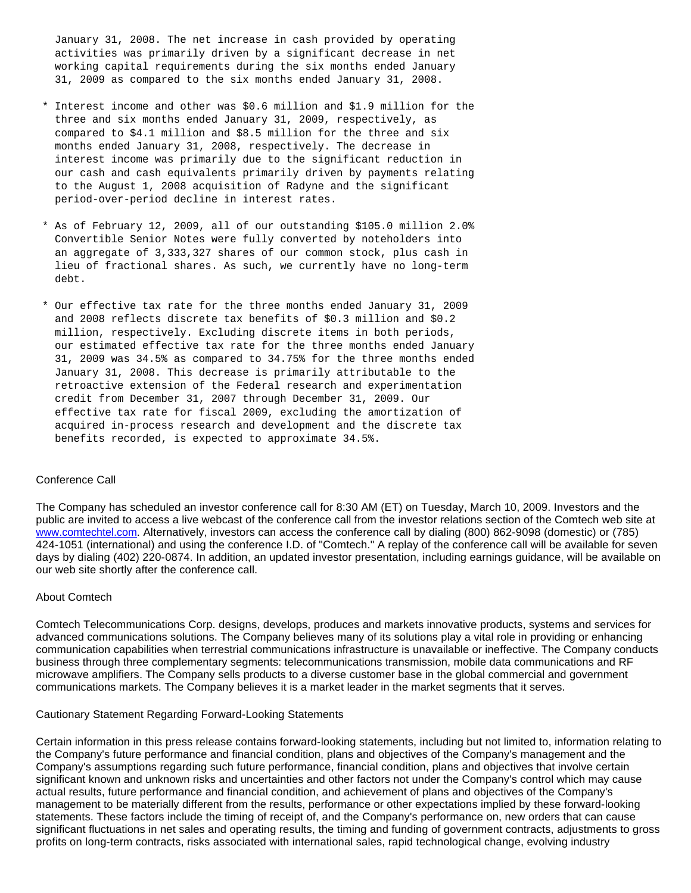January 31, 2008. The net increase in cash provided by operating activities was primarily driven by a significant decrease in net working capital requirements during the six months ended January 31, 2009 as compared to the six months ended January 31, 2008.

- \* Interest income and other was \$0.6 million and \$1.9 million for the three and six months ended January 31, 2009, respectively, as compared to \$4.1 million and \$8.5 million for the three and six months ended January 31, 2008, respectively. The decrease in interest income was primarily due to the significant reduction in our cash and cash equivalents primarily driven by payments relating to the August 1, 2008 acquisition of Radyne and the significant period-over-period decline in interest rates.
- \* As of February 12, 2009, all of our outstanding \$105.0 million 2.0% Convertible Senior Notes were fully converted by noteholders into an aggregate of 3,333,327 shares of our common stock, plus cash in lieu of fractional shares. As such, we currently have no long-term debt.
- \* Our effective tax rate for the three months ended January 31, 2009 and 2008 reflects discrete tax benefits of \$0.3 million and \$0.2 million, respectively. Excluding discrete items in both periods, our estimated effective tax rate for the three months ended January 31, 2009 was 34.5% as compared to 34.75% for the three months ended January 31, 2008. This decrease is primarily attributable to the retroactive extension of the Federal research and experimentation credit from December 31, 2007 through December 31, 2009. Our effective tax rate for fiscal 2009, excluding the amortization of acquired in-process research and development and the discrete tax benefits recorded, is expected to approximate 34.5%.

#### Conference Call

The Company has scheduled an investor conference call for 8:30 AM (ET) on Tuesday, March 10, 2009. Investors and the public are invited to access a live webcast of the conference call from the investor relations section of the Comtech web site at [www.comtechtel.com](http://www.comtechtel.com/). Alternatively, investors can access the conference call by dialing (800) 862-9098 (domestic) or (785) 424-1051 (international) and using the conference I.D. of "Comtech." A replay of the conference call will be available for seven days by dialing (402) 220-0874. In addition, an updated investor presentation, including earnings guidance, will be available on our web site shortly after the conference call.

#### About Comtech

Comtech Telecommunications Corp. designs, develops, produces and markets innovative products, systems and services for advanced communications solutions. The Company believes many of its solutions play a vital role in providing or enhancing communication capabilities when terrestrial communications infrastructure is unavailable or ineffective. The Company conducts business through three complementary segments: telecommunications transmission, mobile data communications and RF microwave amplifiers. The Company sells products to a diverse customer base in the global commercial and government communications markets. The Company believes it is a market leader in the market segments that it serves.

#### Cautionary Statement Regarding Forward-Looking Statements

Certain information in this press release contains forward-looking statements, including but not limited to, information relating to the Company's future performance and financial condition, plans and objectives of the Company's management and the Company's assumptions regarding such future performance, financial condition, plans and objectives that involve certain significant known and unknown risks and uncertainties and other factors not under the Company's control which may cause actual results, future performance and financial condition, and achievement of plans and objectives of the Company's management to be materially different from the results, performance or other expectations implied by these forward-looking statements. These factors include the timing of receipt of, and the Company's performance on, new orders that can cause significant fluctuations in net sales and operating results, the timing and funding of government contracts, adjustments to gross profits on long-term contracts, risks associated with international sales, rapid technological change, evolving industry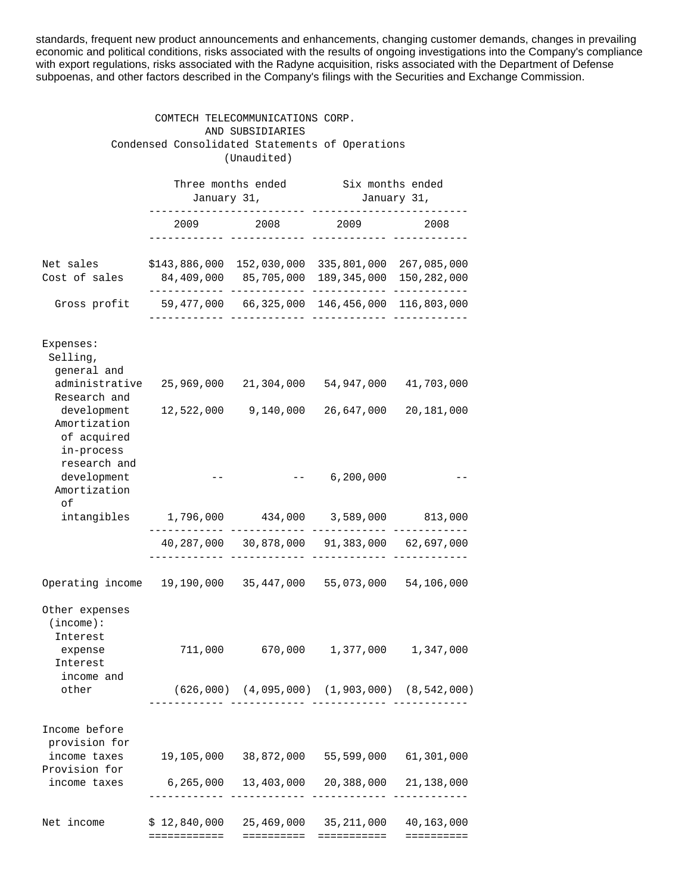standards, frequent new product announcements and enhancements, changing customer demands, changes in prevailing economic and political conditions, risks associated with the results of ongoing investigations into the Company's compliance with export regulations, risks associated with the Radyne acquisition, risks associated with the Department of Defense subpoenas, and other factors described in the Company's filings with the Securities and Exchange Commission.

### COMTECH TELECOMMUNICATIONS CORP. AND SUBSIDIARIES Condensed Consolidated Statements of Operations (Unaudited)

|                                                          | Three months ended<br>January 31, |                           | Six months ended<br>January 31,                       |                            |
|----------------------------------------------------------|-----------------------------------|---------------------------|-------------------------------------------------------|----------------------------|
|                                                          | 2009                              | 2008                      | 2009                                                  | 2008                       |
| Net sales<br>Cost of sales                               | \$143,886,000<br>84,409,000       | 152,030,000<br>85,705,000 | 335,801,000<br>189,345,000                            | 267,085,000<br>150,282,000 |
| Gross profit                                             | 59,477,000 66,325,000             |                           | 146,456,000                                           | 116,803,000                |
| Expenses:<br>Selling,<br>general and                     |                                   |                           |                                                       |                            |
| administrative<br>Research and                           | 25,969,000                        | 21,304,000                | 54,947,000                                            | 41,703,000                 |
| development<br>Amortization<br>of acquired<br>in-process | 12,522,000                        | 9,140,000                 | 26,647,000                                            | 20,181,000                 |
| research and<br>development<br>Amortization<br>оf        |                                   |                           | 6, 200, 000                                           |                            |
| intangibles                                              | 1,796,000                         | 434,000                   | 3,589,000                                             | 813,000                    |
|                                                          | 40,287,000                        | 30,878,000                |                                                       | 91,383,000 62,697,000      |
| Operating income 19,190,000                              |                                   | 35,447,000                | 55,073,000                                            | 54,106,000                 |
| Other expenses<br>(income):<br>Interest                  |                                   |                           |                                                       |                            |
| expense<br>Interest<br>income and                        | 711,000                           | 670,000                   | 1,377,000                                             | 1,347,000                  |
| other                                                    |                                   |                           | $(626,000)$ $(4,095,000)$ $(1,903,000)$ $(8,542,000)$ |                            |
| Income before<br>provision for                           |                                   |                           |                                                       |                            |
| income taxes                                             | 19,105,000                        | 38,872,000                | 55,599,000                                            | 61,301,000                 |
| Provision for<br>income taxes                            | 6, 265, 000                       | 13,403,000                | 20,388,000                                            | 21,138,000                 |
| Net income                                               | \$12,840,000<br>============      | 25,469,000<br>==========  | 35, 211, 000<br>===========                           | 40,163,000<br>==========   |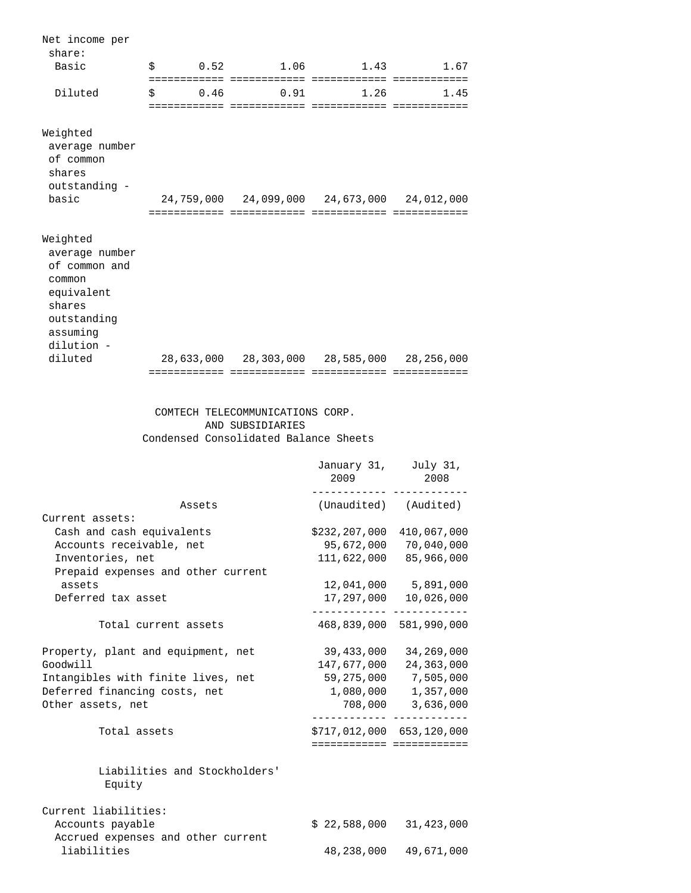| Net income per<br>share:                                                                                                          |    |                                             |                            |      |
|-----------------------------------------------------------------------------------------------------------------------------------|----|---------------------------------------------|----------------------------|------|
| Basic                                                                                                                             | Ŝ. | $0.52$ 1.06 1.43                            | ========================== | 1.67 |
| Diluted                                                                                                                           | Ŝ. | $0.46$ $0.91$                               | 1.26                       | 1.45 |
| Weighted<br>average number<br>of common<br>shares<br>outstanding -<br>basic                                                       |    | 24,759,000 24,099,000 24,673,000 24,012,000 |                            |      |
| Weighted<br>average number<br>of common and<br>common<br>equivalent<br>shares<br>outstanding<br>assuming<br>dilution -<br>diluted |    | 28,633,000 28,303,000 28,585,000 28,256,000 |                            |      |
|                                                                                                                                   |    |                                             |                            |      |

 COMTECH TELECOMMUNICATIONS CORP. AND SUBSIDIARIES Condensed Consolidated Balance Sheets

|                                         | January 31, July 31,<br>2009 | 2008                      |
|-----------------------------------------|------------------------------|---------------------------|
| Assets                                  |                              | (Unaudited) (Audited)     |
| Current assets:                         |                              |                           |
| Cash and cash equivalents               | \$232,207,000                | 410,067,000               |
| Accounts receivable, net                |                              | 95,672,000 70,040,000     |
| Inventories, net                        | 111,622,000                  | 85,966,000                |
| Prepaid expenses and other current      |                              |                           |
| assets                                  |                              | 12,041,000 5,891,000      |
| Deferred tax asset                      |                              | 17,297,000 10,026,000     |
| Total current assets                    |                              | 468,839,000 581,990,000   |
| Property, plant and equipment, net      | 39,433,000                   | 34,269,000                |
| Goodwill                                | 147,677,000                  | 24,363,000                |
| Intangibles with finite lives, net      |                              | 59,275,000 7,505,000      |
| Deferred financing costs, net           |                              | 1,080,000 1,357,000       |
| Other assets, net                       |                              | 708,000 3,636,000         |
| Total assets                            | \$717,012,000 653,120,000    |                           |
|                                         |                              |                           |
| Liabilities and Stockholders'<br>Equity |                              |                           |
| Current liabilities:                    |                              |                           |
| Accounts payable                        | \$22,588,000                 | 31,423,000                |
| Accrued expenses and other current      |                              |                           |
| liabilities                             |                              | 48, 238, 000 49, 671, 000 |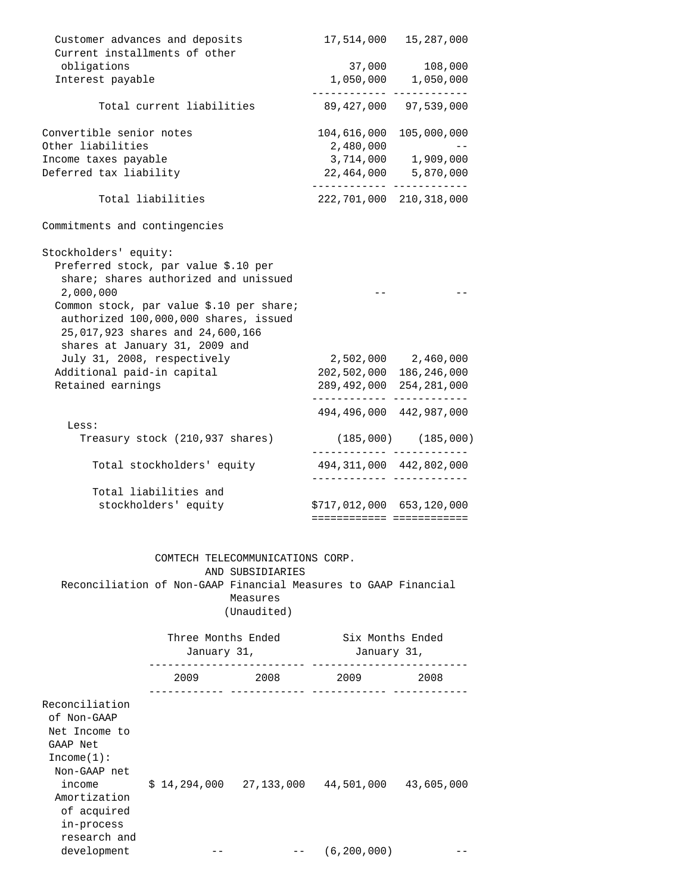| Customer advances and deposits                                                                                                                                                                                                                                                 |                                                                  | 17,514,000 15,287,000   |
|--------------------------------------------------------------------------------------------------------------------------------------------------------------------------------------------------------------------------------------------------------------------------------|------------------------------------------------------------------|-------------------------|
| Current installments of other                                                                                                                                                                                                                                                  |                                                                  |                         |
| obligations                                                                                                                                                                                                                                                                    | 37,000                                                           | 108,000                 |
| Interest payable                                                                                                                                                                                                                                                               | ----------- -----------                                          | 1,050,000 1,050,000     |
| Total current liabilities                                                                                                                                                                                                                                                      |                                                                  | 89,427,000 97,539,000   |
| Convertible senior notes                                                                                                                                                                                                                                                       | 104,616,000                                                      | 105,000,000             |
| Other liabilities                                                                                                                                                                                                                                                              | 2,480,000                                                        |                         |
| Income taxes payable                                                                                                                                                                                                                                                           |                                                                  | 3,714,000 1,909,000     |
| Deferred tax liability                                                                                                                                                                                                                                                         |                                                                  | 22,464,000 5,870,000    |
| Total liabilities                                                                                                                                                                                                                                                              | 222,701,000 210,318,000                                          |                         |
| Commitments and contingencies                                                                                                                                                                                                                                                  |                                                                  |                         |
| Stockholders' equity:<br>Preferred stock, par value \$.10 per<br>share; shares authorized and unissued<br>2,000,000<br>Common stock, par value \$.10 per share;<br>authorized 100,000,000 shares, issued<br>25,017,923 shares and 24,600,166<br>shares at January 31, 2009 and |                                                                  |                         |
| July 31, 2008, respectively                                                                                                                                                                                                                                                    | 2,502,000                                                        | 2,460,000               |
| Additional paid-in capital                                                                                                                                                                                                                                                     | 202,502,000 186,246,000                                          |                         |
| Retained earnings                                                                                                                                                                                                                                                              | 289, 492, 000 254, 281, 000                                      |                         |
| Less:                                                                                                                                                                                                                                                                          | ------------- -------------<br>494, 496, 000 442, 987, 000       |                         |
| Treasury stock (210,937 shares)                                                                                                                                                                                                                                                |                                                                  | $(185,000)$ $(185,000)$ |
| Total stockholders' equity                                                                                                                                                                                                                                                     | 494,311,000 442,802,000<br>. 200 200 200 200 200 200 200 200 200 |                         |
| Total liabilities and<br>stockholders' equity                                                                                                                                                                                                                                  | \$717,012,000 653,120,000                                        |                         |

### COMTECH TELECOMMUNICATIONS CORP. AND SUBSIDIARIES Reconciliation of Non-GAAP Financial Measures to GAAP Financial Measures (Unaudited)

|                                                                                                                                                                 | Three Months Ended<br>January 31, |              | Six Months Ended<br>January 31, |            |
|-----------------------------------------------------------------------------------------------------------------------------------------------------------------|-----------------------------------|--------------|---------------------------------|------------|
|                                                                                                                                                                 | 2009                              | 2008         | 2009                            | 2008       |
| Reconciliation<br>of Non-GAAP<br>Net Income to<br>GAAP Net<br>Income(1):<br>Non-GAAP net<br>income<br>Amortization<br>of acquired<br>in-process<br>research and | \$14,294,000                      | 27, 133, 000 | 44,501,000                      | 43,605,000 |
| development                                                                                                                                                     |                                   |              | (6, 200, 000)                   |            |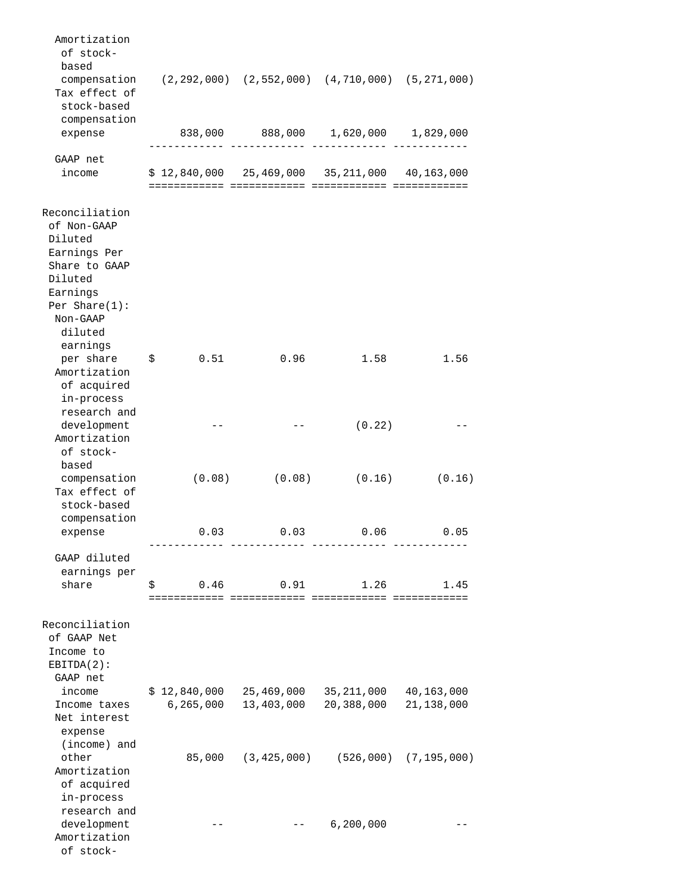| Amortization<br>of stock-<br>based                                                                                                           |                                                                  |                                          |             |            |
|----------------------------------------------------------------------------------------------------------------------------------------------|------------------------------------------------------------------|------------------------------------------|-------------|------------|
| Tax effect of<br>stock-based                                                                                                                 | compensation (2,292,000) (2,552,000) (4,710,000) (5,271,000)     |                                          |             |            |
| compensation<br>expense                                                                                                                      |                                                                  | 838,000 888,000 1,620,000 1,829,000      |             |            |
| GAAP net<br>income                                                                                                                           | $$12,840,000 \quad 25,469,000 \quad 35,211,000 \quad 40,163,000$ |                                          |             |            |
| Reconciliation<br>of Non-GAAP<br>Diluted<br>Earnings Per<br>Share to GAAP<br>Diluted<br>Earnings<br>Per Share $(1)$ :<br>Non-GAAP<br>diluted |                                                                  |                                          |             |            |
| earnings<br>per share<br>Amortization<br>of acquired<br>in-process<br>research and                                                           | \$<br>0.51                                                       | 0.96                                     | 1.58        | 1.56       |
| development<br>Amortization<br>of stock-                                                                                                     | $- -$                                                            | $- -$                                    | (0.22)      |            |
| based<br>compensation<br>Tax effect of<br>stock-based                                                                                        | (0.08)                                                           | (0.08)                                   | (0.16)      | (0.16)     |
| compensation<br>expense                                                                                                                      | 0.03                                                             | 0.03                                     | 0.06        | 0.05       |
| GAAP diluted<br>earnings per                                                                                                                 |                                                                  |                                          |             |            |
| share                                                                                                                                        | 0.46<br>\$                                                       | 0.91                                     | 1.26        | 1.45       |
| Reconciliation<br>of GAAP Net<br>Income to<br>$EBITDA(2)$ :<br>GAAP net                                                                      |                                                                  |                                          |             |            |
| income<br>Income taxes<br>Net interest<br>expense<br>(income) and                                                                            | $$12,840,000 \quad 25,469,000 \quad 35,211,000 \quad 40,163,000$ | 6,265,000 13,403,000                     | 20,388,000  | 21,138,000 |
| other<br>Amortization<br>of acquired<br>in-process<br>research and                                                                           |                                                                  | 85,000 (3,425,000) (526,000) (7,195,000) |             |            |
| development<br>Amortization<br>of stock-                                                                                                     |                                                                  |                                          | 6, 200, 000 |            |